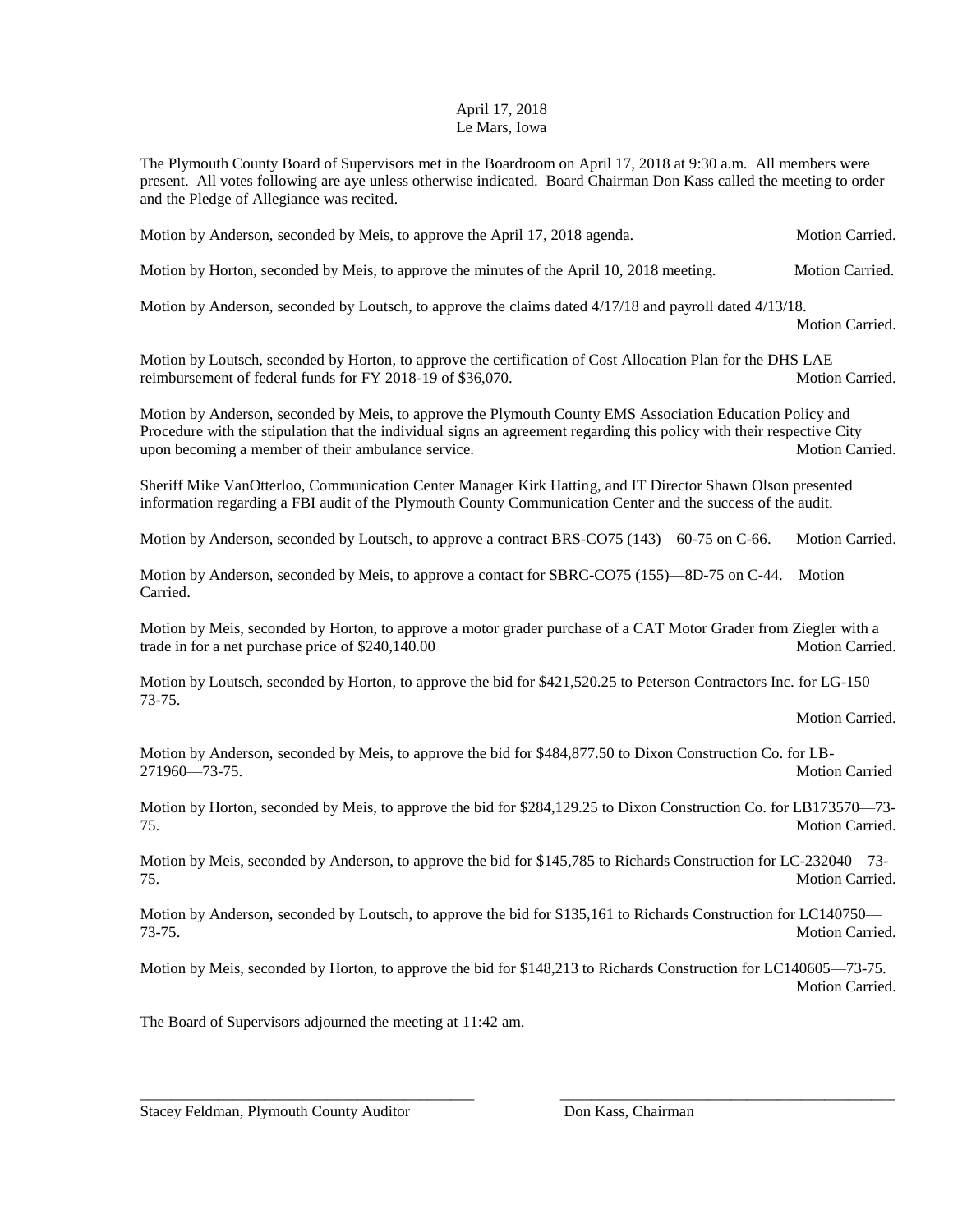## April 17, 2018 Le Mars, Iowa

The Plymouth County Board of Supervisors met in the Boardroom on April 17, 2018 at 9:30 a.m. All members were present. All votes following are aye unless otherwise indicated. Board Chairman Don Kass called the meeting to order and the Pledge of Allegiance was recited.

Motion by Anderson, seconded by Meis, to approve the April 17, 2018 agenda. Motion Carried.

Motion by Horton, seconded by Meis, to approve the minutes of the April 10, 2018 meeting. Motion Carried.

Motion by Anderson, seconded by Loutsch, to approve the claims dated 4/17/18 and payroll dated 4/13/18.

Motion Carried.

Motion by Loutsch, seconded by Horton, to approve the certification of Cost Allocation Plan for the DHS LAE reimbursement of federal funds for FY 2018-19 of \$36,070. Motion Carried.

Motion by Anderson, seconded by Meis, to approve the Plymouth County EMS Association Education Policy and Procedure with the stipulation that the individual signs an agreement regarding this policy with their respective City upon becoming a member of their ambulance service. Motion Carried. Motion Carried.

Sheriff Mike VanOtterloo, Communication Center Manager Kirk Hatting, and IT Director Shawn Olson presented information regarding a FBI audit of the Plymouth County Communication Center and the success of the audit.

Motion by Anderson, seconded by Loutsch, to approve a contract BRS-CO75 (143)—60-75 on C-66. Motion Carried.

Motion by Anderson, seconded by Meis, to approve a contact for SBRC-CO75 (155)—8D-75 on C-44. Motion Carried.

Motion by Meis, seconded by Horton, to approve a motor grader purchase of a CAT Motor Grader from Ziegler with a trade in for a net purchase price of \$240,140.00 Motion Carried.

Motion by Loutsch, seconded by Horton, to approve the bid for \$421,520.25 to Peterson Contractors Inc. for LG-150— 73-75.

Motion Carried.

Motion by Anderson, seconded by Meis, to approve the bid for \$484,877.50 to Dixon Construction Co. for LB-271960—73-75. Motion Carried

Motion by Horton, seconded by Meis, to approve the bid for \$284,129.25 to Dixon Construction Co. for LB173570—73-75. Motion Carried.

Motion by Meis, seconded by Anderson, to approve the bid for \$145,785 to Richards Construction for LC-232040—73- 75. Motion Carried.

Motion by Anderson, seconded by Loutsch, to approve the bid for \$135,161 to Richards Construction for LC140750— 73-75. Motion Carried.

Motion by Meis, seconded by Horton, to approve the bid for \$148,213 to Richards Construction for LC140605—73-75. Motion Carried.

\_\_\_\_\_\_\_\_\_\_\_\_\_\_\_\_\_\_\_\_\_\_\_\_\_\_\_\_\_\_\_\_\_\_\_\_\_\_\_\_\_\_\_ \_\_\_\_\_\_\_\_\_\_\_\_\_\_\_\_\_\_\_\_\_\_\_\_\_\_\_\_\_\_\_\_\_\_\_\_\_\_\_\_\_\_\_

The Board of Supervisors adjourned the meeting at 11:42 am.

Stacey Feldman, Plymouth County Auditor Don Kass, Chairman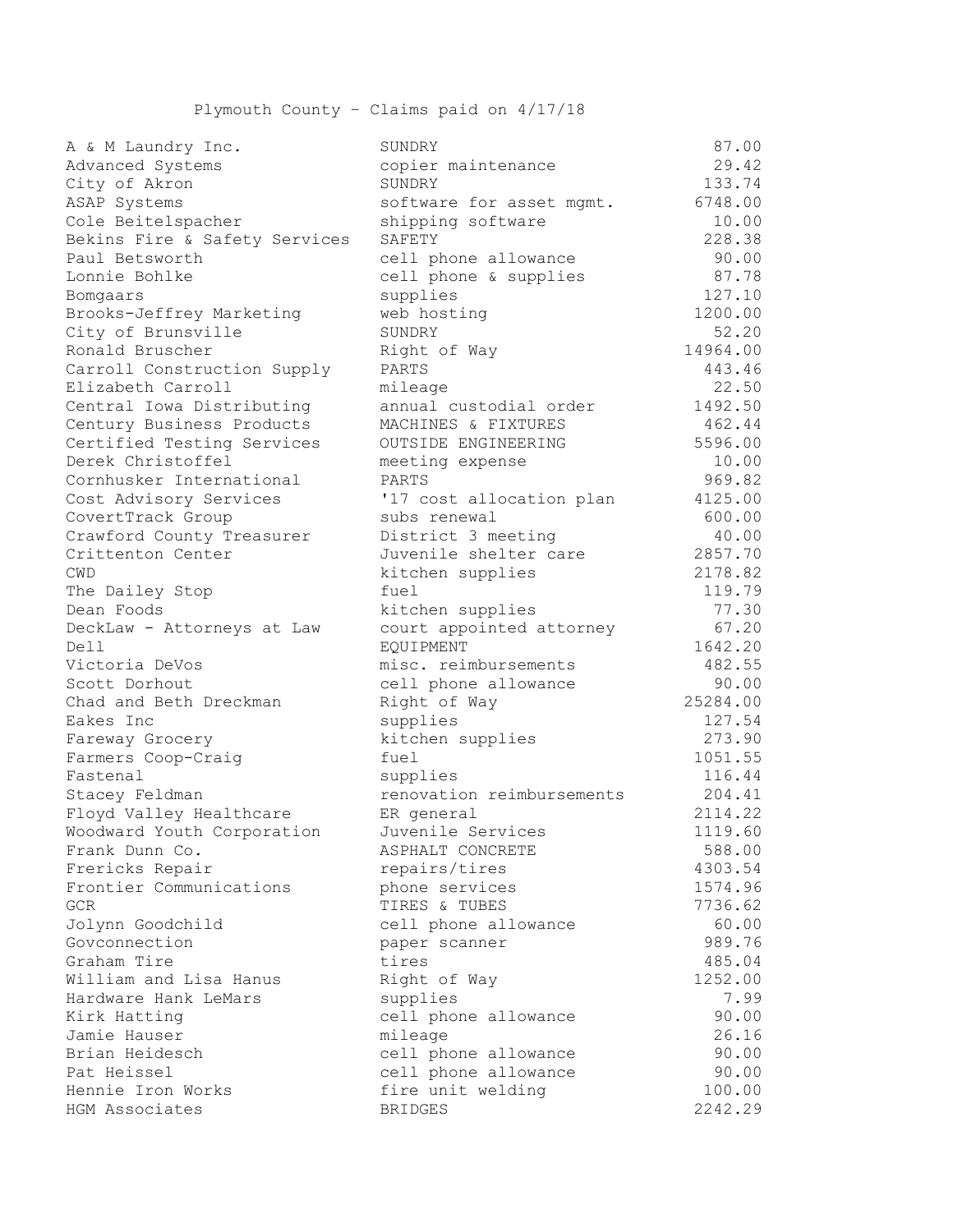Plymouth County – Claims paid on 4/17/18

| A & M Laundry Inc.            | SUNDRY                     | 87.00              |
|-------------------------------|----------------------------|--------------------|
| Advanced Systems              | copier maintenance         | 29.42              |
| City of Akron                 | SUNDRY                     | 133.74             |
| ASAP Systems                  | software for asset mgmt.   | 6748.00            |
| Cole Beitelspacher            | shipping software          | 10.00              |
| Bekins Fire & Safety Services | SAFETY                     | 228.38             |
| Paul Betsworth                | cell phone allowance       | 90.00              |
| Lonnie Bohlke                 | cell phone & supplies      | 87.78              |
| Bomgaars                      | supplies                   | 127.10             |
| Brooks-Jeffrey Marketing      | web hosting                | 1200.00            |
| City of Brunsville            | SUNDRY                     | 52.20              |
| Ronald Bruscher               | Right of Way               | 14964.00           |
| Carroll Construction Supply   | PARTS                      | 443.46             |
| Elizabeth Carroll             | mileage                    | 22.50              |
| Central Iowa Distributing     | annual custodial order     | 1492.50            |
| Century Business Products     | MACHINES & FIXTURES        | 462.44             |
| Certified Testing Services    | <b>OUTSIDE ENGINEERING</b> | 5596.00            |
| Derek Christoffel             | meeting expense            | 10.00              |
| Cornhusker International      | PARTS                      | 969.82             |
| Cost Advisory Services        | '17 cost allocation plan   | 4125.00            |
| CovertTrack Group             | subs renewal               | 600.00             |
|                               | District 3 meeting         | 40.00              |
| Crawford County Treasurer     |                            |                    |
| Crittenton Center             | Juvenile shelter care      | 2857.70<br>2178.82 |
| CWD                           | kitchen supplies           |                    |
| The Dailey Stop               | fuel                       | 119.79             |
| Dean Foods                    | kitchen supplies           | 77.30              |
| DeckLaw - Attorneys at Law    | court appointed attorney   | 67.20              |
| Dell                          | <b>EOUIPMENT</b>           | 1642.20            |
| Victoria DeVos                | misc. reimbursements       | 482.55             |
| Scott Dorhout                 | cell phone allowance       | 90.00              |
| Chad and Beth Dreckman        | Right of Way               | 25284.00           |
| Eakes Inc                     | supplies                   | 127.54             |
| Fareway Grocery               | kitchen supplies           | 273.90             |
| Farmers Coop-Craig            | fuel                       | 1051.55            |
| Fastenal                      | supplies                   | 116.44             |
| Stacey Feldman                | renovation reimbursements  | 204.41             |
| Floyd Valley Healthcare       | ER general                 | 2114.22            |
| Woodward Youth Corporation    | Juvenile Services          | 1119.60            |
| Frank Dunn Co.                | ASPHALT CONCRETE           | 588.00             |
| Frericks Repair               | repairs/tires              | 4303.54            |
| Frontier Communications       | phone services             | 1574.96            |
| GCR                           | TIRES & TUBES              | 7736.62            |
| Jolynn Goodchild              | cell phone allowance       | 60.00              |
| Govconnection                 | paper scanner              | 989.76             |
| Graham Tire                   | tires                      | 485.04             |
| William and Lisa Hanus        | Right of Way               | 1252.00            |
| Hardware Hank LeMars          | supplies                   | 7.99               |
| Kirk Hatting                  | cell phone allowance       | 90.00              |
| Jamie Hauser                  | mileage                    | 26.16              |
| Brian Heidesch                | cell phone allowance       | 90.00              |
| Pat Heissel                   | cell phone allowance       | 90.00              |
| Hennie Iron Works             | fire unit welding          | 100.00             |
| HGM Associates                | <b>BRIDGES</b>             | 2242.29            |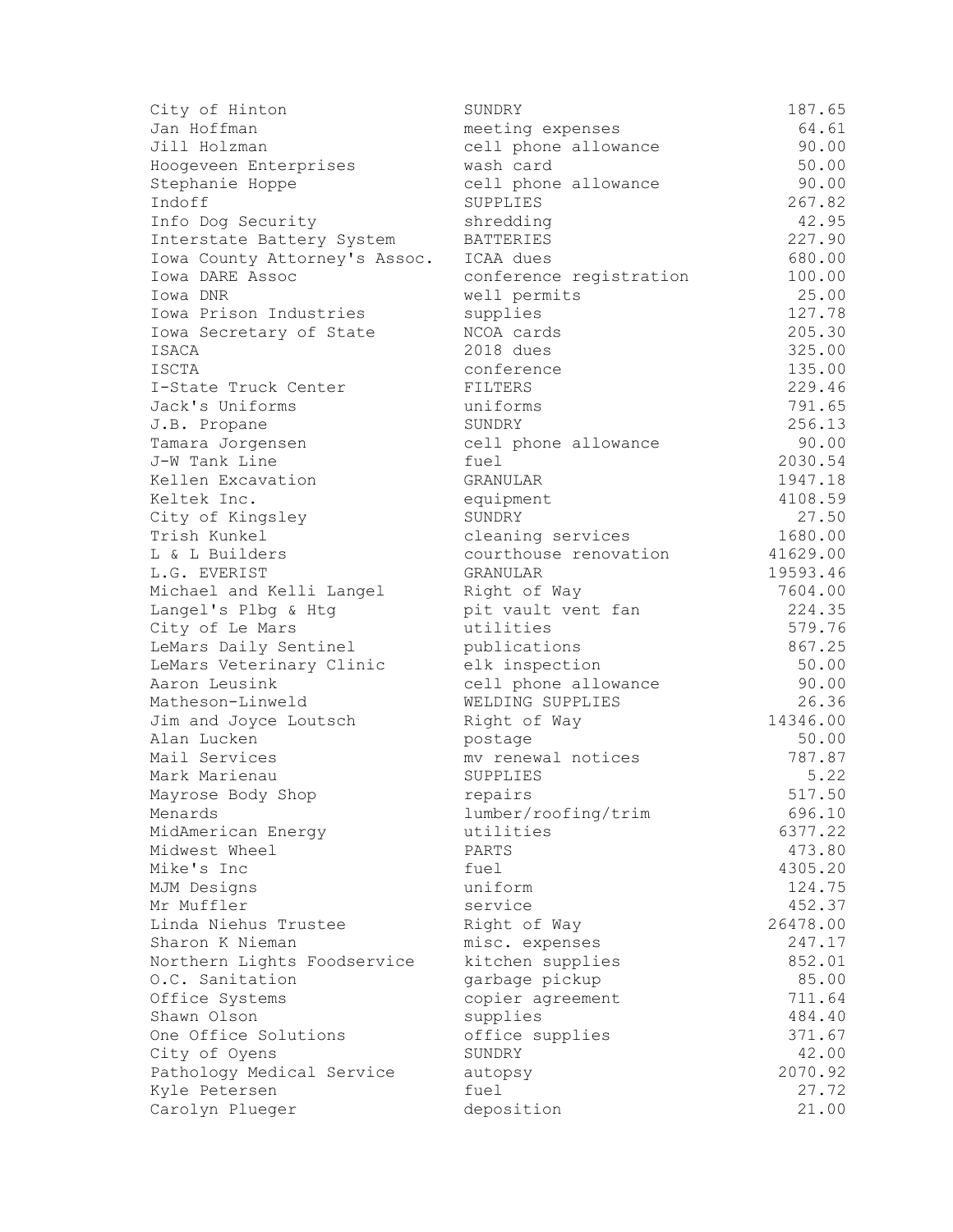| City of Hinton                | SUNDRY                  | 187.65            |
|-------------------------------|-------------------------|-------------------|
| Jan Hoffman                   | meeting expenses        | 64.61             |
| Jill Holzman                  | cell phone allowance    | 90.00             |
| Hoogeveen Enterprises         | wash card               | 50.00             |
| Stephanie Hoppe               | cell phone allowance    | 90.00             |
| Indoff                        | SUPPLIES                | 267.82            |
| Info Dog Security             | shredding               | 42.95             |
| Interstate Battery System     | <b>BATTERIES</b>        | 227.90            |
| Iowa County Attorney's Assoc. | ICAA dues               | 680.00            |
| Iowa DARE Assoc               | conference registration | 100.00            |
| Iowa DNR                      | well permits            | 25.00             |
| Iowa Prison Industries        | supplies                | 127.78            |
| Iowa Secretary of State       | NCOA cards              | 205.30            |
| ISACA                         | 2018 dues               | 325.00            |
| ISCTA                         | conference              | 135.00            |
| I-State Truck Center          | FILTERS                 | 229.46            |
| Jack's Uniforms               | uniforms                | 791.65            |
| J.B. Propane                  | SUNDRY                  | 256.13            |
| Tamara Jorgensen              | cell phone allowance    | 90.00             |
| J-W Tank Line                 | fuel                    | 2030.54           |
| Kellen Excavation             | <b>GRANULAR</b>         | 1947.18           |
| Keltek Inc.                   | equipment               | 4108.59           |
| City of Kingsley              | SUNDRY                  | 27.50             |
| Trish Kunkel                  | cleaning services       | 1680.00           |
| L & L Builders                | courthouse renovation   | 41629.00          |
|                               | GRANULAR                | 19593.46          |
| L.G. EVERIST                  |                         |                   |
| Michael and Kelli Langel      | Right of Way            | 7604.00<br>224.35 |
| Langel's Plbg & Htg           | pit vault vent fan      |                   |
| City of Le Mars               | utilities               | 579.76<br>867.25  |
| LeMars Daily Sentinel         | publications            |                   |
| LeMars Veterinary Clinic      | elk inspection          | 50.00             |
| Aaron Leusink                 | cell phone allowance    | 90.00             |
| Matheson-Linweld              | WELDING SUPPLIES        | 26.36<br>14346.00 |
| Jim and Joyce Loutsch         | Right of Way            |                   |
| Alan Lucken                   | postage                 | 50.00             |
| Mail Services                 | mv renewal notices      | 787.87            |
| Mark Marienau                 | SUPPLIES                | 5.22              |
| Mayrose Body Shop             | repairs                 | 517.50            |
| Menards                       | lumber/roofing/trim     | 696.10            |
| MidAmerican Energy            | utilities               | 6377.22           |
| Midwest Wheel                 | PARTS                   | 473.80            |
| Mike's Inc                    | fuel                    | 4305.20           |
| MJM Designs                   | uniform                 | 124.75            |
| Mr Muffler                    | service                 | 452.37            |
| Linda Niehus Trustee          | Right of Way            | 26478.00          |
| Sharon K Nieman               | misc. expenses          | 247.17            |
| Northern Lights Foodservice   | kitchen supplies        | 852.01            |
| O.C. Sanitation               | garbage pickup          | 85.00             |
| Office Systems                | copier agreement        | 711.64            |
| Shawn Olson                   | supplies                | 484.40            |
| One Office Solutions          | office supplies         | 371.67            |
| City of Oyens                 | SUNDRY                  | 42.00             |
| Pathology Medical Service     | autopsy                 | 2070.92           |
| Kyle Petersen                 | fuel                    | 27.72             |
| Carolyn Plueger               | deposition              | 21.00             |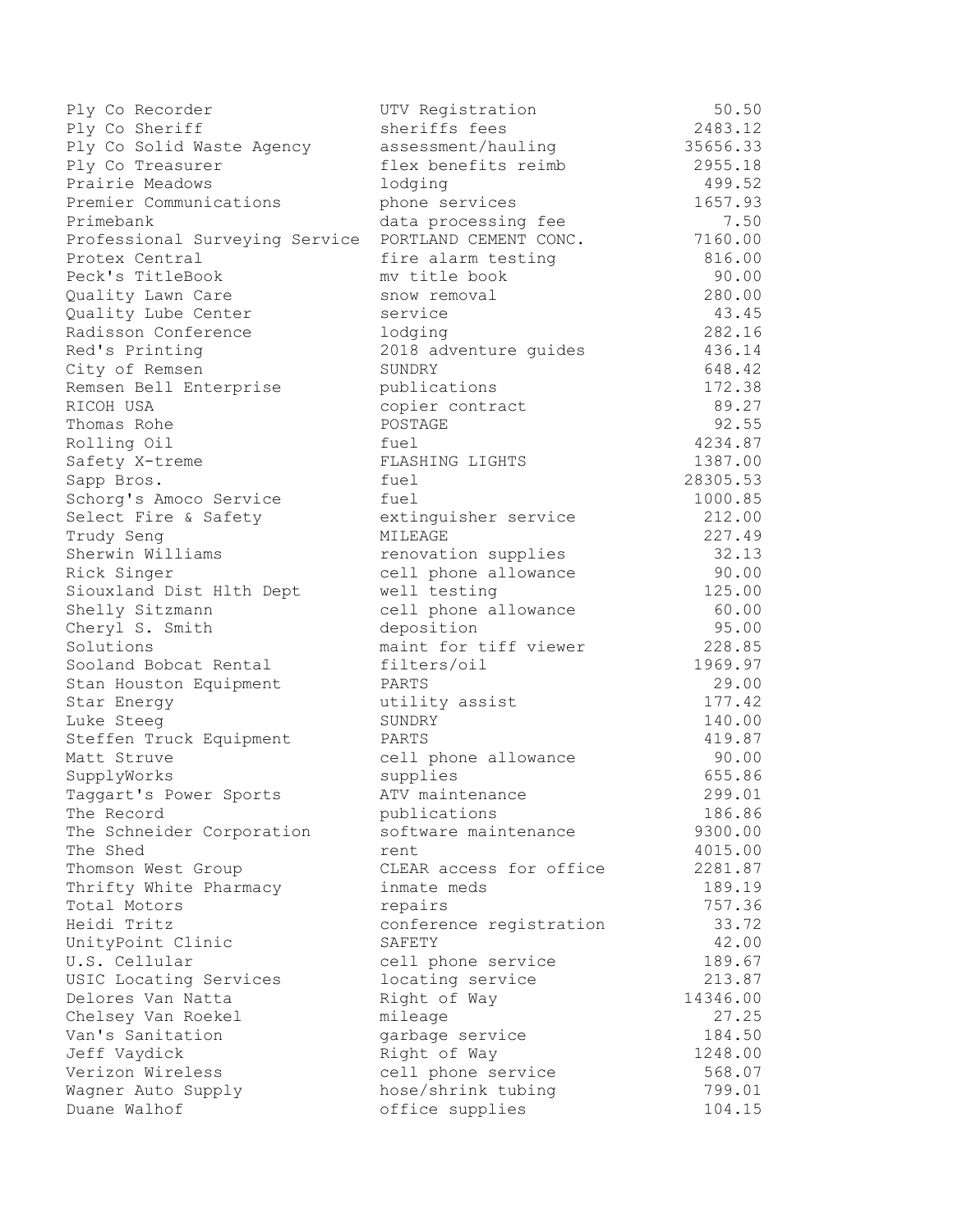| Ply Co Recorder                | UTV Registration        | 50.50    |
|--------------------------------|-------------------------|----------|
| Ply Co Sheriff                 | sheriffs fees           | 2483.12  |
| Ply Co Solid Waste Agency      | assessment/hauling      | 35656.33 |
| Ply Co Treasurer               | flex benefits reimb     | 2955.18  |
| Prairie Meadows                | lodging                 | 499.52   |
| Premier Communications         | phone services          | 1657.93  |
| Primebank                      | data processing fee     | 7.50     |
| Professional Surveying Service | PORTLAND CEMENT CONC.   | 7160.00  |
| Protex Central                 | fire alarm testing      | 816.00   |
| Peck's TitleBook               | mv title book           | 90.00    |
| Quality Lawn Care              | snow removal            | 280.00   |
| Quality Lube Center            | service                 | 43.45    |
| Radisson Conference            | lodging                 | 282.16   |
| Red's Printing                 | 2018 adventure guides   | 436.14   |
| City of Remsen                 | SUNDRY                  | 648.42   |
| Remsen Bell Enterprise         | publications            | 172.38   |
| RICOH USA                      | copier contract         | 89.27    |
| Thomas Rohe                    | POSTAGE                 | 92.55    |
| Rolling Oil                    | fuel                    | 4234.87  |
| Safety X-treme                 | FLASHING LIGHTS         | 1387.00  |
| Sapp Bros.                     | fuel                    | 28305.53 |
| Schorg's Amoco Service         | fuel                    | 1000.85  |
| Select Fire & Safety           | extinguisher service    | 212.00   |
| Trudy Seng                     | MILEAGE                 | 227.49   |
| Sherwin Williams               | renovation supplies     | 32.13    |
| Rick Singer                    | cell phone allowance    | 90.00    |
| Siouxland Dist Hlth Dept       | well testing            | 125.00   |
| Shelly Sitzmann                | cell phone allowance    | 60.00    |
| Cheryl S. Smith                | deposition              | 95.00    |
| Solutions                      | maint for tiff viewer   | 228.85   |
| Sooland Bobcat Rental          | filters/oil             | 1969.97  |
| Stan Houston Equipment         | PARTS                   | 29.00    |
| Star Energy                    | utility assist          | 177.42   |
| Luke Steeg                     | SUNDRY                  | 140.00   |
| Steffen Truck Equipment        | PARTS                   | 419.87   |
| Matt Struve                    | cell phone allowance    | 90.00    |
| SupplyWorks                    | supplies                | 655.86   |
| Taggart's Power Sports         | ATV maintenance         | 299.01   |
| The Record                     | publications            | 186.86   |
| The Schneider Corporation      | software maintenance    | 9300.00  |
| The Shed                       | rent                    | 4015.00  |
| Thomson West Group             | CLEAR access for office | 2281.87  |
| Thrifty White Pharmacy         | inmate meds             | 189.19   |
| Total Motors                   | repairs                 | 757.36   |
| Heidi Tritz                    | conference registration | 33.72    |
| UnityPoint Clinic              | SAFETY                  | 42.00    |
| U.S. Cellular                  | cell phone service      | 189.67   |
| USIC Locating Services         | locating service        | 213.87   |
| Delores Van Natta              | Right of Way            | 14346.00 |
| Chelsey Van Roekel             | mileage                 | 27.25    |
| Van's Sanitation               | garbage service         | 184.50   |
| Jeff Vaydick                   | Right of Way            | 1248.00  |
| Verizon Wireless               | cell phone service      | 568.07   |
| Wagner Auto Supply             | hose/shrink tubing      | 799.01   |
| Duane Walhof                   | office supplies         | 104.15   |
|                                |                         |          |